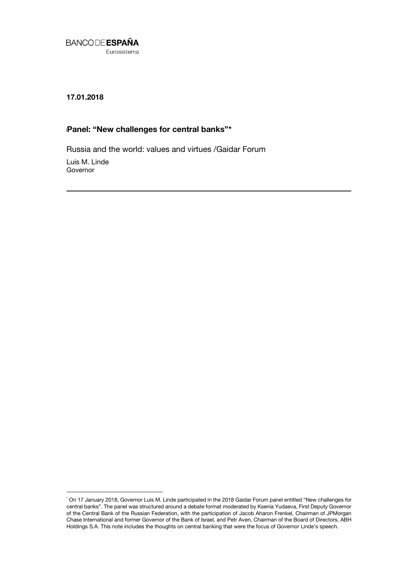

**17.01.2018**

# **PaPanel: "New challenges for central banks"\* \***

Russia and the world: values and virtues /Gaidar Forum

Luis M. Linde Governor

1

<sup>\*</sup> On 17 January 2018, Governor Luis M. Linde participated in the 2018 Gaidar Forum panel entitled "New challenges for central banks". The panel was structured around a debate format moderated by Ksenia Yudaeva, First Deputy Governor of the Central Bank of the Russian Federation, with the participation of Jacob Aharon Frenkel, Chairman of JPMorgan Chase International and former Governor of the Bank of Israel, and Petr Aven, Chairman of the Board of Directors, ABH Holdings S.A. This note includes the thoughts on central banking that were the focus of Governor Linde's speech.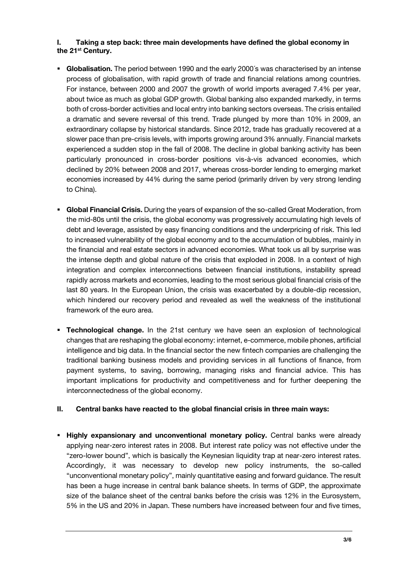### **I. Taking a step back: three main developments have defined the global economy in the 21st Century.**

- **Globalisation.** The period between 1990 and the early 2000´s was characterised by an intense process of globalisation, with rapid growth of trade and financial relations among countries. For instance, between 2000 and 2007 the growth of world imports averaged 7.4% per year, about twice as much as global GDP growth. Global banking also expanded markedly, in terms both of cross-border activities and local entry into banking sectors overseas. The crisis entailed a dramatic and severe reversal of this trend. Trade plunged by more than 10% in 2009, an extraordinary collapse by historical standards. Since 2012, trade has gradually recovered at a slower pace than pre-crisis levels, with imports growing around 3% annually. Financial markets experienced a sudden stop in the fall of 2008. The decline in global banking activity has been particularly pronounced in cross-border positions vis-à-vis advanced economies, which declined by 20% between 2008 and 2017, whereas cross-border lending to emerging market economies increased by 44% during the same period (primarily driven by very strong lending to China).
- **Global Financial Crisis.** During the years of expansion of the so-called Great Moderation, from the mid-80s until the crisis, the global economy was progressively accumulating high levels of debt and leverage, assisted by easy financing conditions and the underpricing of risk. This led to increased vulnerability of the global economy and to the accumulation of bubbles, mainly in the financial and real estate sectors in advanced economies. What took us all by surprise was the intense depth and global nature of the crisis that exploded in 2008. In a context of high integration and complex interconnections between financial institutions, instability spread rapidly across markets and economies, leading to the most serious global financial crisis of the last 80 years. In the European Union, the crisis was exacerbated by a double-dip recession, which hindered our recovery period and revealed as well the weakness of the institutional framework of the euro area.
- **Technological change.** In the 21st century we have seen an explosion of technological changes that are reshaping the global economy: internet, e-commerce, mobile phones, artificial intelligence and big data. In the financial sector the new fintech companies are challenging the traditional banking business models and providing services in all functions of finance, from payment systems, to saving, borrowing, managing risks and financial advice. This has important implications for productivity and competitiveness and for further deepening the interconnectedness of the global economy.

#### **II. Central banks have reacted to the global financial crisis in three main ways:**

**Highly expansionary and unconventional monetary policy.** Central banks were already applying near-zero interest rates in 2008. But interest rate policy was not effective under the "zero-lower bound", which is basically the Keynesian liquidity trap at near-zero interest rates. Accordingly, it was necessary to develop new policy instruments, the so-called "unconventional monetary policy", mainly quantitative easing and forward guidance. The result has been a huge increase in central bank balance sheets. In terms of GDP, the approximate size of the balance sheet of the central banks before the crisis was 12% in the Eurosystem, 5% in the US and 20% in Japan. These numbers have increased between four and five times,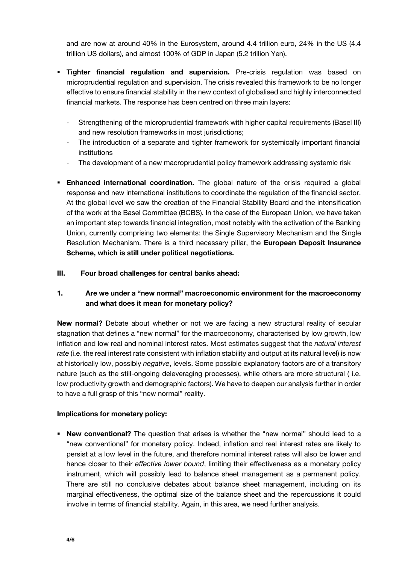and are now at around 40% in the Eurosystem, around 4.4 trillion euro, 24% in the US (4.4 trillion US dollars), and almost 100% of GDP in Japan (5.2 trillion Yen).

- **Tighter financial regulation and supervision.** Pre-crisis regulation was based on microprudential regulation and supervision. The crisis revealed this framework to be no longer effective to ensure financial stability in the new context of globalised and highly interconnected financial markets. The response has been centred on three main layers:
	- Strengthening of the microprudential framework with higher capital requirements (Basel III) and new resolution frameworks in most jurisdictions;
	- The introduction of a separate and tighter framework for systemically important financial institutions
	- The development of a new macroprudential policy framework addressing systemic risk
- **Enhanced international coordination.** The global nature of the crisis required a global response and new international institutions to coordinate the regulation of the financial sector. At the global level we saw the creation of the Financial Stability Board and the intensification of the work at the Basel Committee (BCBS). In the case of the European Union, we have taken an important step towards financial integration, most notably with the activation of the Banking Union, currently comprising two elements: the Single Supervisory Mechanism and the Single Resolution Mechanism. There is a third necessary pillar, the **European Deposit Insurance Scheme, which is still under political negotiations.**

#### **III. Four broad challenges for central banks ahead:**

# **1. Are we under a "new normal" macroeconomic environment for the macroeconomy and what does it mean for monetary policy?**

**New normal?** Debate about whether or not we are facing a new structural reality of secular stagnation that defines a "new normal" for the macroeconomy, characterised by low growth, low inflation and low real and nominal interest rates. Most estimates suggest that the *natural interest rate* (i.e. the real interest rate consistent with inflation stability and output at its natural level) is now at historically low, possibly *negative*, levels. Some possible explanatory factors are of a transitory nature (such as the still-ongoing deleveraging processes), while others are more structural ( i.e. low productivity growth and demographic factors). We have to deepen our analysis further in order to have a full grasp of this "new normal" reality.

#### **Implications for monetary policy:**

**New conventional?** The question that arises is whether the "new normal" should lead to a "new conventional" for monetary policy. Indeed, inflation and real interest rates are likely to persist at a low level in the future, and therefore nominal interest rates will also be lower and hence closer to their *effective lower bound*, limiting their effectiveness as a monetary policy instrument, which will possibly lead to balance sheet management as a permanent policy. There are still no conclusive debates about balance sheet management, including on its marginal effectiveness, the optimal size of the balance sheet and the repercussions it could involve in terms of financial stability. Again, in this area, we need further analysis.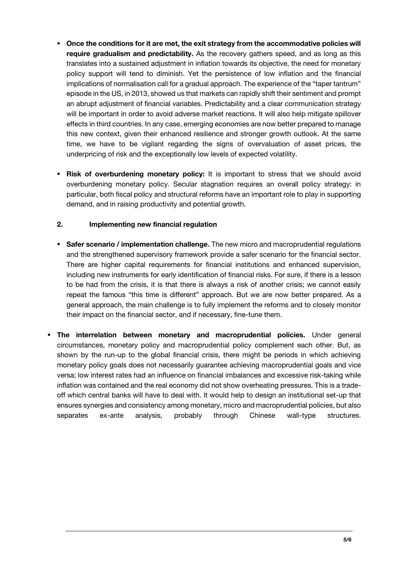- **Once the conditions for it are met, the exit strategy from the accommodative policies will require gradualism and predictability.** As the recovery gathers speed, and as long as this translates into a sustained adjustment in inflation towards its objective, the need for monetary policy support will tend to diminish. Yet the persistence of low inflation and the financial implications of normalisation call for a gradual approach. The experience of the "taper tantrum" episode in the US, in 2013, showed us that markets can rapidly shift their sentiment and prompt an abrupt adjustment of financial variables. Predictability and a clear communication strategy will be important in order to avoid adverse market reactions. It will also help mitigate spillover effects in third countries. In any case, emerging economies are now better prepared to manage this new context, given their enhanced resilience and stronger growth outlook. At the same time, we have to be vigilant regarding the signs of overvaluation of asset prices, the underpricing of risk and the exceptionally low levels of expected volatility.
- **Risk of overburdening monetary policy:** It is important to stress that we should avoid overburdening monetary policy. Secular stagnation requires an overall policy strategy: in particular, both fiscal policy and structural reforms have an important role to play in supporting demand, and in raising productivity and potential growth.

### **2. Implementing new financial regulation**

- **Safer scenario / implementation challenge.** The new micro and macroprudential regulations and the strengthened supervisory framework provide a safer scenario for the financial sector. There are higher capital requirements for financial institutions and enhanced supervision, including new instruments for early identification of financial risks. For sure, if there is a lesson to be had from the crisis, it is that there is always a risk of another crisis; we cannot easily repeat the famous "this time is different" approach. But we are now better prepared. As a general approach, the main challenge is to fully implement the reforms and to closely monitor their impact on the financial sector, and if necessary, fine-tune them.
- **The interrelation between monetary and macroprudential policies.** Under general circumstances, monetary policy and macroprudential policy complement each other. But, as shown by the run-up to the global financial crisis, there might be periods in which achieving monetary policy goals does not necessarily guarantee achieving macroprudential goals and vice versa; low interest rates had an influence on financial imbalances and excessive risk-taking while inflation was contained and the real economy did not show overheating pressures. This is a tradeoff which central banks will have to deal with. It would help to design an institutional set-up that ensures synergies and consistency among monetary, micro and macroprudential policies, but also separates ex-ante analysis, probably through Chinese wall-type structures.